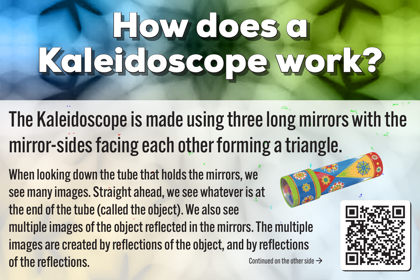## How does a How does a Kaleidoscope work? Kaleidoscope work?

The Kaleidoscope is made using three long mirrors with the mirror-sides facing each other forming a triangle.

When looking down the tube that holds the mirrors, we see many images. Straight ahead, we see whatever is at the end of the tube (called the object). We also see multiple images of the object reflected in the mirrors. The multiple images are created by reflections of the object, and by reflections  $\int$  of the reflections.